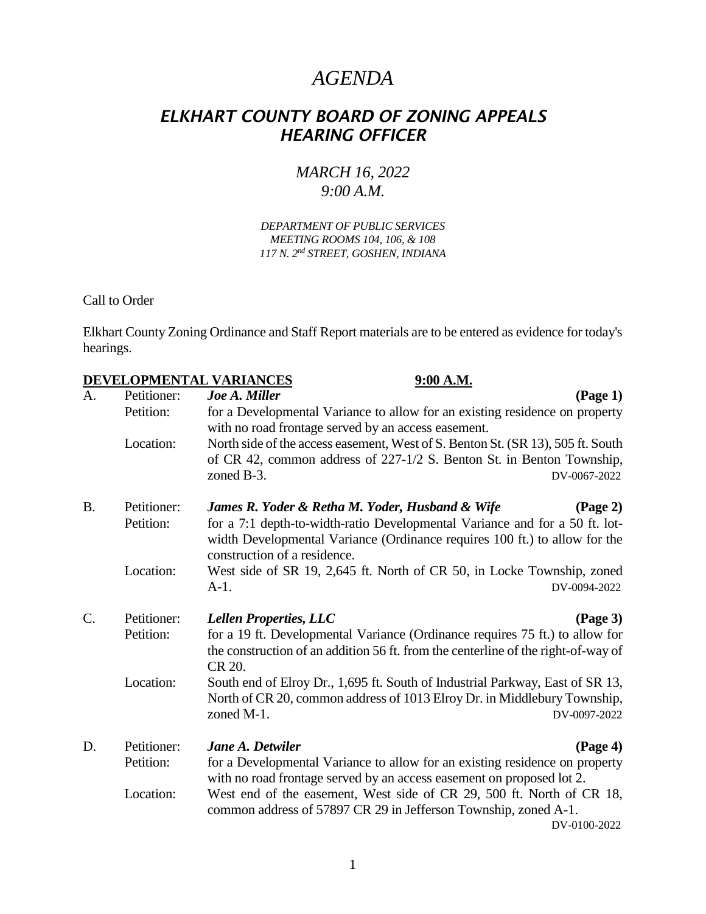## *AGENDA*

## *ELKHART COUNTY BOARD OF ZONING APPEALS HEARING OFFICER*

## *MARCH 16, 2022 9:00 A.M.*

## *DEPARTMENT OF PUBLIC SERVICES MEETING ROOMS 104, 106, & 108 117 N. 2nd STREET, GOSHEN, INDIANA*

Call to Order

Elkhart County Zoning Ordinance and Staff Report materials are to be entered as evidence for today's hearings.

|           |             | DEVELOPMENTAL VARIANCES<br>9:00 A.M.                                                                                                                                                      |  |  |
|-----------|-------------|-------------------------------------------------------------------------------------------------------------------------------------------------------------------------------------------|--|--|
| A.        | Petitioner: | (Page 1)<br>Joe A. Miller                                                                                                                                                                 |  |  |
|           | Petition:   | for a Developmental Variance to allow for an existing residence on property<br>with no road frontage served by an access easement.                                                        |  |  |
|           | Location:   | North side of the access easement, West of S. Benton St. (SR 13), 505 ft. South<br>of CR 42, common address of 227-1/2 S. Benton St. in Benton Township,<br>zoned B-3.<br>DV-0067-2022    |  |  |
| <b>B.</b> | Petitioner: | James R. Yoder & Retha M. Yoder, Husband & Wife<br>$(\text{Page } 2)$                                                                                                                     |  |  |
|           | Petition:   | for a 7:1 depth-to-width-ratio Developmental Variance and for a 50 ft. lot-<br>width Developmental Variance (Ordinance requires 100 ft.) to allow for the<br>construction of a residence. |  |  |
|           | Location:   | West side of SR 19, 2,645 ft. North of CR 50, in Locke Township, zoned<br>$A-1$ .<br>DV-0094-2022                                                                                         |  |  |
| $C$ .     | Petitioner: | <b>Lellen Properties, LLC</b><br>$\left(\text{Page } 3\right)$                                                                                                                            |  |  |
|           | Petition:   | for a 19 ft. Developmental Variance (Ordinance requires 75 ft.) to allow for                                                                                                              |  |  |
|           |             | the construction of an addition 56 ft. from the centerline of the right-of-way of<br>CR 20.                                                                                               |  |  |
|           | Location:   | South end of Elroy Dr., 1,695 ft. South of Industrial Parkway, East of SR 13,                                                                                                             |  |  |
|           |             | North of CR 20, common address of 1013 Elroy Dr. in Middlebury Township,<br>zoned M-1.<br>DV-0097-2022                                                                                    |  |  |
| D.        | Petitioner: | <b>Jane A. Detwiler</b><br>(Page 4)                                                                                                                                                       |  |  |
|           | Petition:   | for a Developmental Variance to allow for an existing residence on property<br>with no road frontage served by an access easement on proposed lot 2.                                      |  |  |
|           | Location:   | West end of the easement, West side of CR 29, 500 ft. North of CR 18,                                                                                                                     |  |  |
|           |             | common address of 57897 CR 29 in Jefferson Township, zoned A-1.                                                                                                                           |  |  |
|           |             | DV-0100-2022                                                                                                                                                                              |  |  |